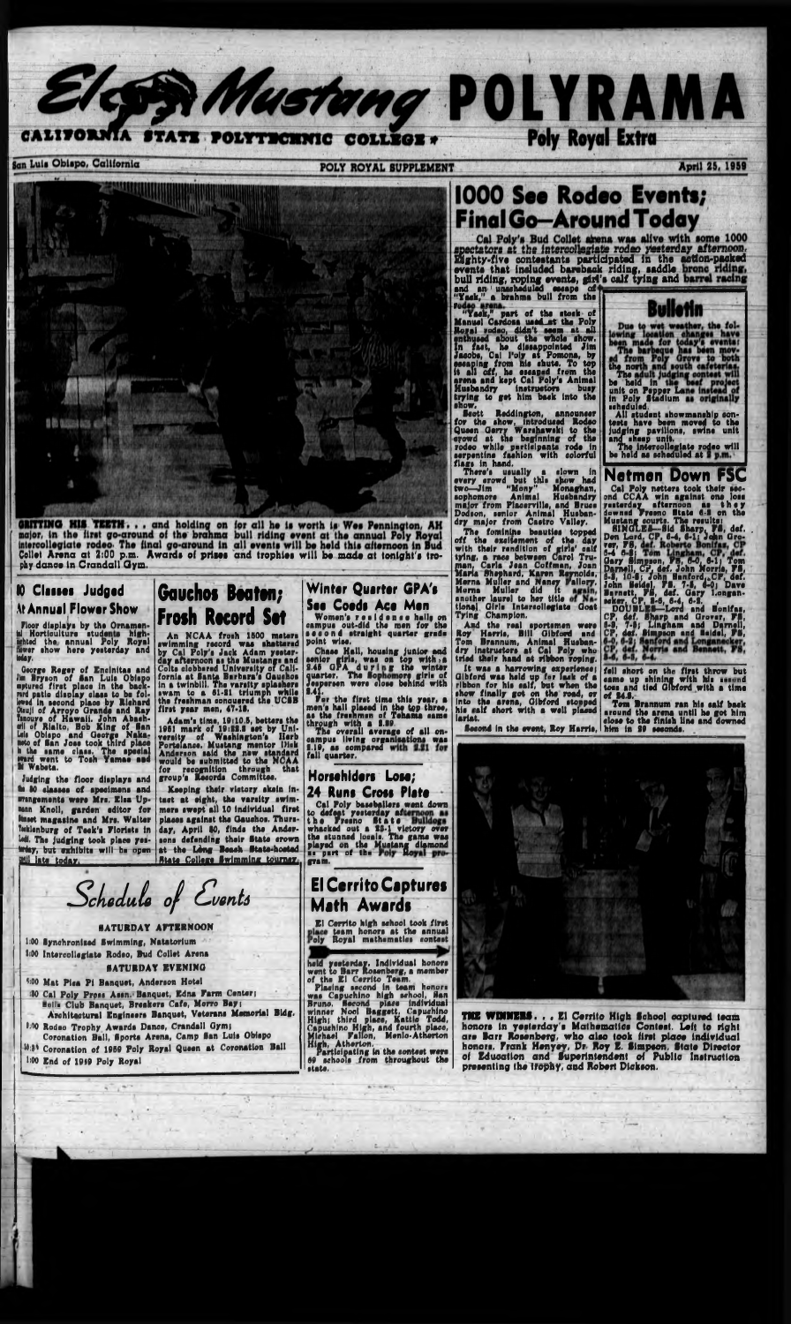



ORITTINO HIS TEETH. . , and holding on fpr all ho la worth la Woa Pennington, AH major, In tho llrat go-around oi tho brahma bull riding ovont at tho annual Poly Royal Intarcollogiato rodeo Tho ilnal go-around in all ovonta will bo hold thla aftomoon In Bud Collot Arona at 2:00 p.m. Awarda oi prlioa and trophloa will bo mado at tonlght'a trophy danco In Crandall Qym. — - ; ' ■ \_\_\_

#### 10 **Claim Judgsd At Annual Flower Show**

Floor displays by the Ornamenal Horticulture students high**mehted the annual Poly Royal**<br>mwer show here yesterday and **May.**

NCAA froah 11500 matara An NCAA frosh 1500 meters<br>Imming record was shattered swimming by Cal Poly's Jack Adam yeatar-day afternoon aa tha Mustangs and Colta clobbarad University of Californla at Santa Barbara's Oauchoa In a twinblll, Tha vanity aplaahara awam to a 01-21 triumph while tha freahman ronauered tha UCIB first year men. 47-18.

Thara'a uaually a clown In overy crowd but this show had two—JIm "Mony" Monaghan, aophomora Animal Huabandry major from Placorvllla, and Bruca Dodson, aanlor Animal Huabandry major from Caatro Valley.

LOO lynchronlaod Swimming, Natatorlum 1:00 Intarcollogiato Rodoo, Bud Collot Arona SATURDAY EVENING

Oaorga Ragar of Enclnltaa and Jim Bryson of San Luis Oblay upturad flrat place nrd patio dlaplay claai leved in second place by **R** OteuJI of Arroyo Grande and Ray Isnouve of Hawaii. John oil of Rialto, Hub Xing Luis Oblapo and Georg aeto of Ban Joaa took thlrd pi Oblapo in tho bachesa to be fola by Rlohard de and Ray<br>phn Abach->n« of Ban tpe Nika noto of San Jose took third place h the same class. The special ward went to Toah Yamae aad U Wabeta.

Judging the floor displays and M 10 daaaaa of apodmona and wangements were Mrs. Elsa Upunn Knoll, garden editor for kaset magazine and Mrs. Walter fesklenburg of Teek's Florists in led. The judging took place yeswiay, but exhibits will be open **Mill** late today.

## Gauchos Beaten; Froth Record Set

El Cerrito high achool took flrat place team honors at the annual<br>Poly Royal mathematics contest

held yesterday. Individual honors want to Barr Roaenborg, a member of the El Cerrito Team. Placing second in team honors was Capuchino high school, San Bruno. Second place Individual winner Noel Baggett. Capuchino High; third place, Rattle Todd, Capuchlno High, and fourth place, Michael Pallon, Mcnlo-Atherton High, Atherton. Participating in the conteat wore

69 schools from throughout the atato.

 $\mathbf{A} = \mathbf{B} \cdot \mathbf{A} \cdot \mathbf{B}$ 

## **1000 See Rodeo Events;** Final Go—Around Today

rodeo, didn't seem sed about the whole show. act, ho dlaaappolnted Jim Cal l'oly at Pomona, by<br>from his shute, To top of the stock of Manual Cardona uaad-at tho Poly Royal rodso, didn't seem at all enthuaa In fast, he dissappointe<br>Jacobs, Cal l'oly at Pomo essaplng from his shute. To top<br>it all off, he essaped from the<br>avena and kapt Cal Poly's Animal all off, ho aaaapod from tho na and kept Cal Poly's Animal || | Husbandry Instructors buay trying to get him back into the ahow, "Yack," part I Cardoxa

Sectt Reddington, announcer for tho ahow, Introduced Rodoo Quoon Carry Warahawaki to tho crowd at tho baginning of tho rodoo while participants rode in aarpantlno faahlon with eolorful flags in hand.

Adam'a tlma, 18:10,6, battara tha 1961 mark of 19:22.8 set by University of Washington's Herb Portelance. Mustang mentor Disk Andaraon aaid tha new standard would be aubmlttad to tha NCAA versity of Washington's<br>Portslance, Mustang mentor naid the new standard<br>submitted to the NCAA for recognition through that group'a Records Committee.

Keeping their victory skein intact at eight, tha varalty awlmmara awapt all 10 Individual firat plaoaa againat tha Oauohoa. Thuraday, April 10, flnda tha Anderaona defending thair State crown at the Lòng Beach State-hosted **State College Swimming tourney,** 

#### Winter Quarter GPA's See Coeds Ace Men

Women's reaidence halls on campua out-did tha man for tho aoaond atraight quarter grade point wise

And the real sportsmen were Roy Harria, BUI Olbford and Tom Brannum, Animal Huabandry Inatructora at Cal Poly who tried thalr hand at ribbon roping.

Cal Poly's Bud Collet airena was alive with some 1000 spectators at the intercollegiate rodeo yesterday afternoon. Eighty-five contestants participated in the action-packed events that includad bareback riding, saddle bull riding, roping events, glrf's calf tylr and an 1 unaohadulad bull riding, roping events, gir<br>bull riding, roping events, gir Ing and

SATURDAY AFTERNOON

\*00 Mat Pica Pi Banquet, Andaraon Hotel

- 130 Cal Poly Pross Assn. Banquet, Edna Farm Center; Holls Club Banquet, Breakers Cafe, Morro Bay; Architectural Engineers Banquet, Veterans Memorial Bldg. »:00 Rodeo Trophy Awarda Dance, Crandall Gymi
- Coronation Ball, Bporta Arona, Camp San Lula Oblapo 14:31 Coronation of 1959 Poly Royal Queen at Coronation Ball

THE WINNERS... El Cerrito High School captured team honor\* In yesterday's Mathomatlca Contoai, Loft to right are Barr Rosenberg, who also took firat place individual honore, Frank Henyev, Dr Roy E. Simpaon, State Director of Education and Superintendent of Public Inatruction presenting the Ifophy, and Robert Dickaon,

The feminine baautlea topped off the excitement of tho day with thalr rendition of glrla' calf tying, a race between Carol Tru**man, Carla Jean<br>Maria Shephard,<br>Merna Muller and** \*fhap Mama Muller and Nancy Mema Muller did It Coffman, Joan **Shephard, Karen Reynolds,** rallory. Ooat another laurel to her title tional Ofrle Intarcollogiato Tying Champion,

SINGLES—Sid Sharp, FS, def. .<br>Don Lord. CP, 6-4, 6-1; John Gro-Gary Simpson, Fa, 6-0, 6-1; Tom Parnell, CF, def. John Norrie, PS,<br>8-8, 10-6; Joh<u>n Banford.eCP,</u> def. John Seidel, FS. 7-5, 6-0; Dave<br>Barnett, FS, daf. Gary Longanacker. CP, S-«, 6-4, 6-8. ,

1:00 End of 1050 Poly Royal

Chaaa Hall, houalng junior and Irla, waa on top with > a *\* d u r Tho Sc senior girl<br>8.48 OPA quarter. The Sopi Joaporaon war\* close **aparac** n top with, a<br>g the winter ore girl\* of behind with

**8.41.**<br>For the men's ha aa the tha flrat time thla year, a men's hall placed in the top three,<br>as the freshmen of Tehama came through with a 1.39.

Tho overall averse oampua 8.19, aa col<br>fall quar<mark>ter</mark>. verall average of all onliving organisations was compared

## Horschiders Lose;

24 Runs Cross Fists

Cal Poly baaoballora wont down to defeat yoaterday aft the Fresno State Hulldogs<br>whacked out a 13-1 victory over the stunned locals. The game was<br>played on the Mustang dismond<br>as part of the Poly Royal gram.

El Cerrito Captures Math Awards

"Yack,'' a brahma bull from tho

It waa a harrowing experience) ld up for lack of a ribbon for hla calf, but when tho Olbford waa held up for show finally got on the road, or<br>Into the arena, Gibford stopped his sal lariat. tha arena, Olbford stooped islf short with a well placed

**Second in the event, Roy Harris,** 



the no The i

bo hold In unit on Popper L In Polr Stadium scheduled. All student ehowmanahlp eon-

tests have been moved to the<br>judging pavilions, swine unit<br>and sheep unit. dging pavilions, swine unit ana sheep unit.

Tha Intaroollaglato rodeo will bo hold aa scheduled at

fell abort on the flrat throw but same up shining with his second toes ana tied Olbford with a tima of 84.1,

Tom Brannum ran his aalf back •round tha arona until ho got him aloao to tho finish Una and downed him in 89 seconds.



 $S$ chedule of Events

### Netmen Down FSC

Cal Poly natters took thair second CCAA win against one loss yesterday afternoon aa they downed Freeno State 6-8 on the Mustang courts. Tha raaultai

DOUBLES—Lora and Honlfaa, CP, daf. Sharp and Grover, PS, 8-9. 7-6; Lingham and Darnell, CP, der. Simpson and Heldel, PS,